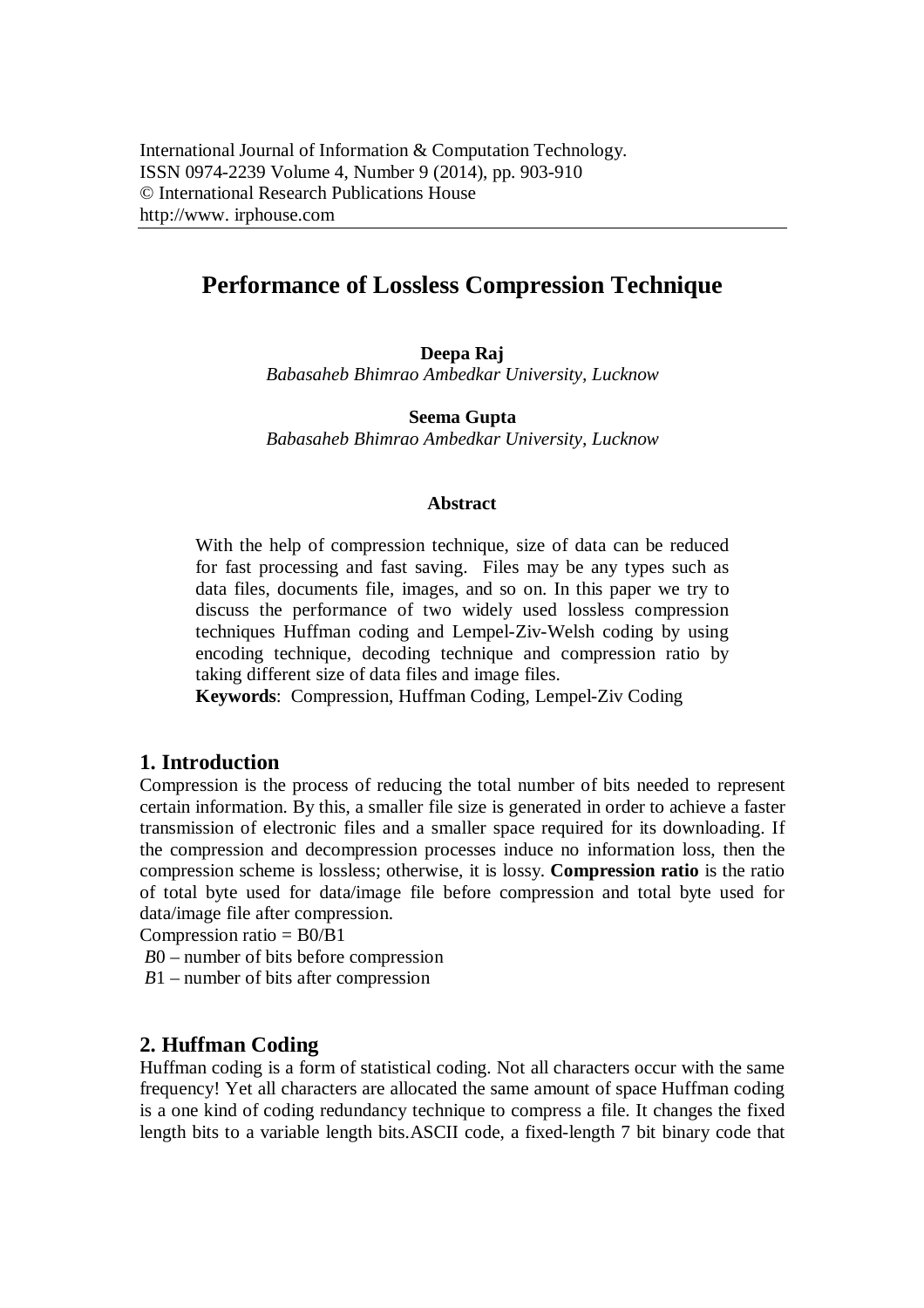# **Performance of Lossless Compression Technique**

**Deepa Raj** *Babasaheb Bhimrao Ambedkar University, Lucknow*

**Seema Gupta** *Babasaheb Bhimrao Ambedkar University, Lucknow*

#### **Abstract**

With the help of compression technique, size of data can be reduced for fast processing and fast saving. Files may be any types such as data files, documents file, images, and so on. In this paper we try to discuss the performance of two widely used lossless compression techniques Huffman coding and Lempel-Ziv-Welsh coding by using encoding technique, decoding technique and compression ratio by taking different size of data files and image files.

**Keywords**: Compression, Huffman Coding, Lempel-Ziv Coding

### **1. Introduction**

Compression is the process of reducing the total number of bits needed to represent certain information. By this, a smaller file size is generated in order to achieve a faster transmission of electronic files and a smaller space required for its downloading. If the compression and decompression processes induce no information loss, then the compression scheme is lossless; otherwise, it is lossy. **Compression ratio** is the ratio of total byte used for data/image file before compression and total byte used for data/image file after compression.

Compression ratio  $=$  B0/B1

- *B*0 number of bits before compression
- *B*1 number of bits after compression

## **2. Huffman Coding**

Huffman coding is a form of statistical coding. Not all characters occur with the same frequency! Yet all characters are allocated the same amount of space Huffman coding is a one kind of coding redundancy technique to compress a file. It changes the fixed length bits to a variable length bits.ASCII code, a fixed-length 7 bit binary code that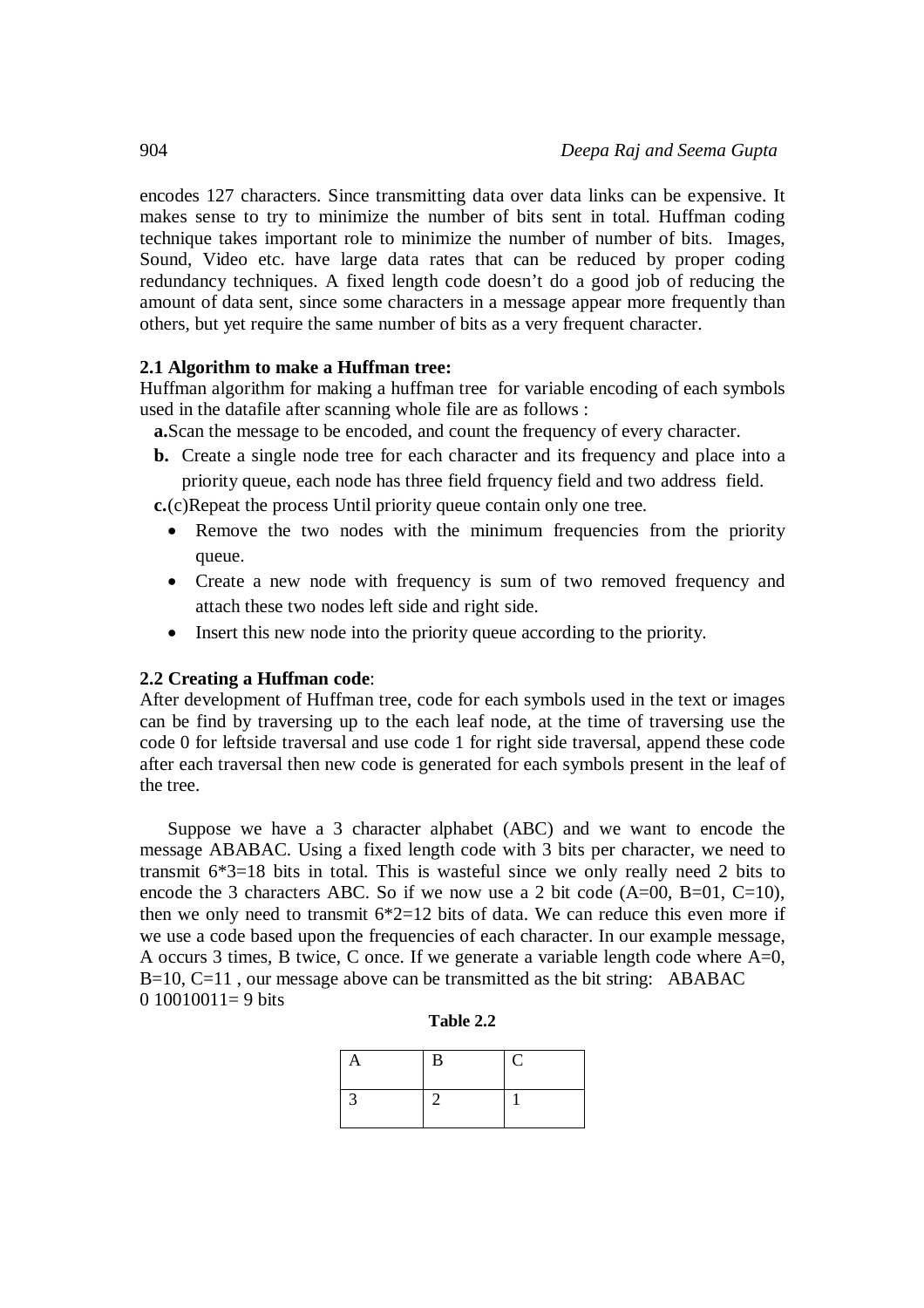encodes 127 characters. Since transmitting data over data links can be expensive. It makes sense to try to minimize the number of bits sent in total. Huffman coding technique takes important role to minimize the number of number of bits. Images, Sound, Video etc. have large data rates that can be reduced by proper coding redundancy techniques. A fixed length code doesn't do a good job of reducing the amount of data sent, since some characters in a message appear more frequently than others, but yet require the same number of bits as a very frequent character.

### **2.1 Algorithm to make a Huffman tree:**

Huffman algorithm for making a huffman tree for variable encoding of each symbols used in the datafile after scanning whole file are as follows :

**a.**Scan the message to be encoded, and count the frequency of every character.

**b.** Create a single node tree for each character and its frequency and place into a priority queue, each node has three field frquency field and two address field.

**c.**(c)Repeat the process Until priority queue contain only one tree.

- Remove the two nodes with the minimum frequencies from the priority queue.
- Create a new node with frequency is sum of two removed frequency and attach these two nodes left side and right side.
- Insert this new node into the priority queue according to the priority.

#### **2.2 Creating a Huffman code**:

After development of Huffman tree, code for each symbols used in the text or images can be find by traversing up to the each leaf node, at the time of traversing use the code 0 for leftside traversal and use code 1 for right side traversal, append these code after each traversal then new code is generated for each symbols present in the leaf of the tree.

Suppose we have a 3 character alphabet (ABC) and we want to encode the message ABABAC. Using a fixed length code with 3 bits per character, we need to transmit 6\*3=18 bits in total. This is wasteful since we only really need 2 bits to encode the 3 characters ABC. So if we now use a 2 bit code  $(A=00, B=01, C=10)$ , then we only need to transmit  $6*2=12$  bits of data. We can reduce this even more if we use a code based upon the frequencies of each character. In our example message, A occurs 3 times, B twice, C once. If we generate a variable length code where  $A=0$ ,  $B=10$ ,  $C=11$ , our message above can be transmitted as the bit string: ABABAC  $0.10010011=9$  bits

| Table 2.2 |  |  |
|-----------|--|--|
|-----------|--|--|

| D |  |
|---|--|
|   |  |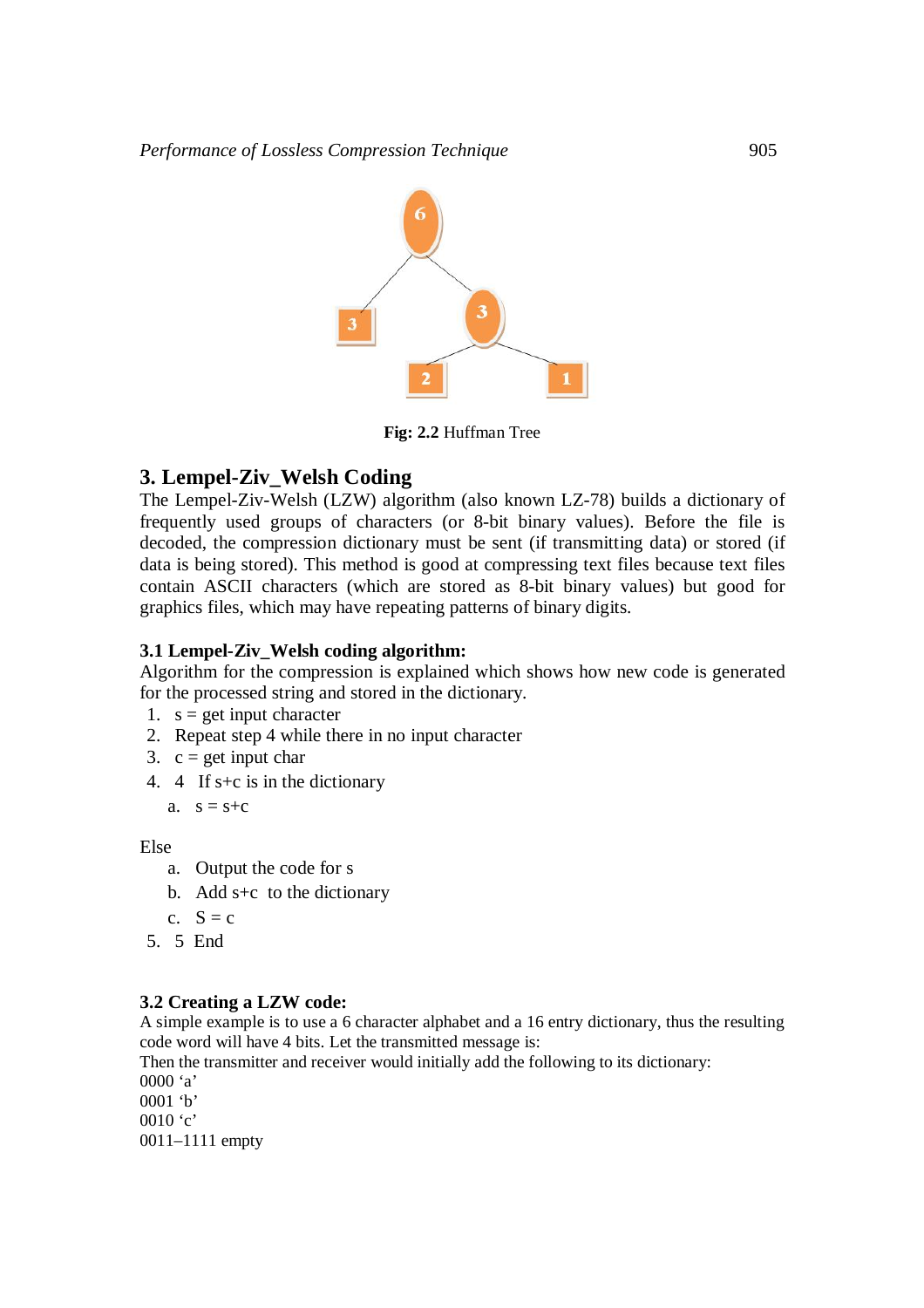

**Fig: 2.2** Huffman Tree

# **3. Lempel-Ziv\_Welsh Coding**

The Lempel-Ziv-Welsh (LZW) algorithm (also known LZ-78) builds a dictionary of frequently used groups of characters (or 8-bit binary values). Before the file is decoded, the compression dictionary must be sent (if transmitting data) or stored (if data is being stored). This method is good at compressing text files because text files contain ASCII characters (which are stored as 8-bit binary values) but good for graphics files, which may have repeating patterns of binary digits.

## **3.1 Lempel-Ziv\_Welsh coding algorithm:**

Algorithm for the compression is explained which shows how new code is generated for the processed string and stored in the dictionary.

- 1.  $s = get input character$
- 2. Repeat step 4 while there in no input character
- 3.  $c = get input char$
- 4. 4 If s+c is in the dictionary

```
a. s = s + c
```
Else

- a. Output the code for s
- b. Add s+c to the dictionary
- c.  $S = c$
- 5. 5 End

## **3.2 Creating a LZW code:**

A simple example is to use a 6 character alphabet and a 16 entry dictionary, thus the resulting code word will have 4 bits. Let the transmitted message is:

Then the transmitter and receiver would initially add the following to its dictionary: 0000 'a'

0001 'b' 0010 'c' 0011–1111 empty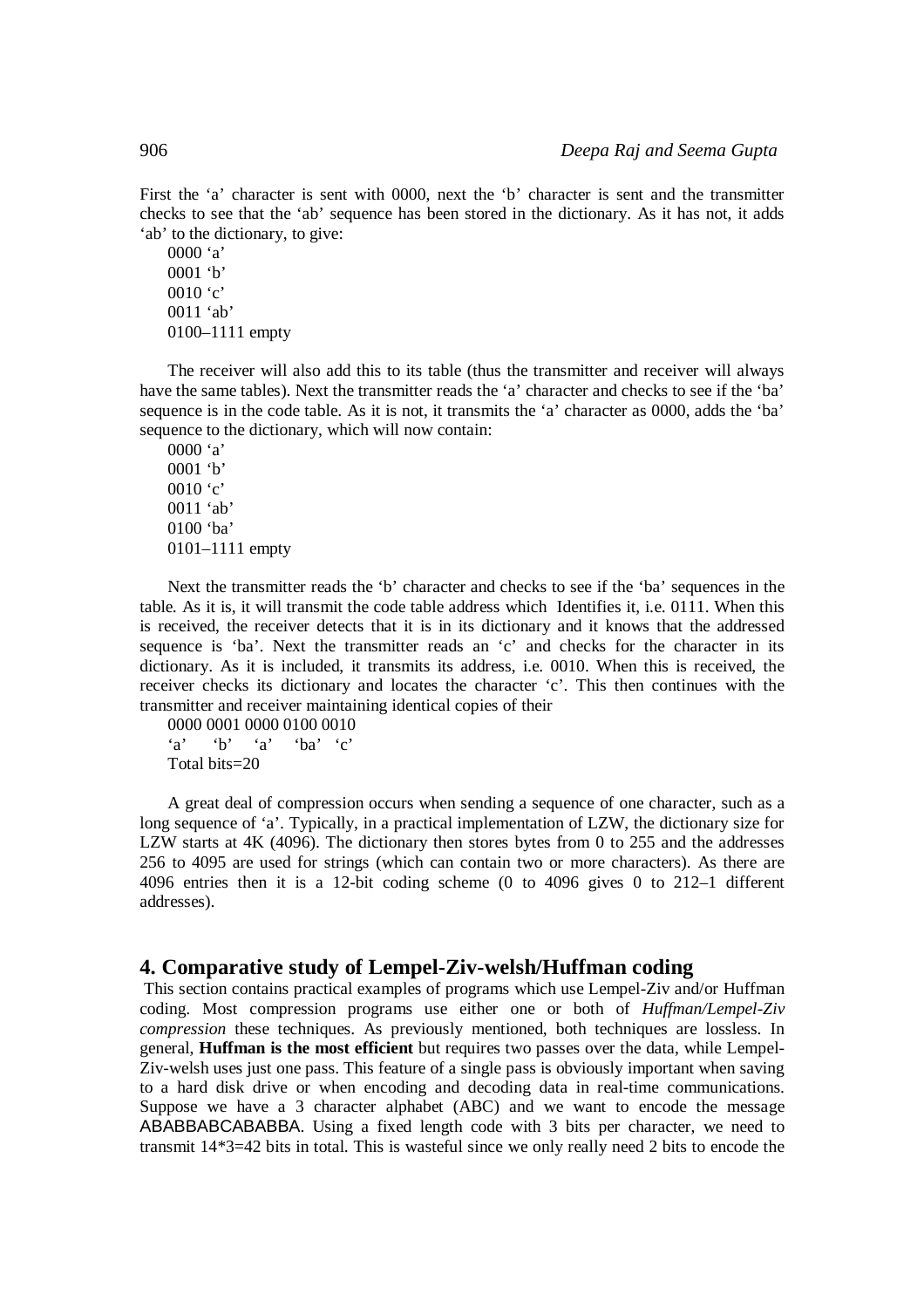First the 'a' character is sent with 0000, next the 'b' character is sent and the transmitter checks to see that the 'ab' sequence has been stored in the dictionary. As it has not, it adds 'ab' to the dictionary, to give:

0000 'a' 0001 'b' 0010 $^{\circ}$ c' 0011 'ab' 0100–1111 empty

The receiver will also add this to its table (thus the transmitter and receiver will always have the same tables). Next the transmitter reads the 'a' character and checks to see if the 'ba' sequence is in the code table. As it is not, it transmits the 'a' character as 0000, adds the 'ba' sequence to the dictionary, which will now contain:

0000 'a' 0001 'b' 0010 'c' 0011 'ab' 0100 'ba' 0101–1111 empty

Next the transmitter reads the 'b' character and checks to see if the 'ba' sequences in the table. As it is, it will transmit the code table address which Identifies it, i.e. 0111. When this is received, the receiver detects that it is in its dictionary and it knows that the addressed sequence is 'ba'. Next the transmitter reads an 'c' and checks for the character in its dictionary. As it is included, it transmits its address, i.e. 0010. When this is received, the receiver checks its dictionary and locates the character 'c'. This then continues with the transmitter and receiver maintaining identical copies of their

0000 0001 0000 0100 0010  $a'$  'b'  $a'$  'ba'  $c'$ Total bits=20

A great deal of compression occurs when sending a sequence of one character, such as a long sequence of 'a'. Typically, in a practical implementation of LZW, the dictionary size for LZW starts at 4K (4096). The dictionary then stores bytes from 0 to 255 and the addresses 256 to 4095 are used for strings (which can contain two or more characters). As there are 4096 entries then it is a 12-bit coding scheme (0 to 4096 gives 0 to 212–1 different addresses).

#### **4. Comparative study of Lempel-Ziv-welsh/Huffman coding**

This section contains practical examples of programs which use Lempel-Ziv and/or Huffman coding. Most compression programs use either one or both of *Huffman/Lempel-Ziv compression* these techniques. As previously mentioned, both techniques are lossless. In general, **Huffman is the most efficient** but requires two passes over the data, while Lempel-Ziv-welsh uses just one pass. This feature of a single pass is obviously important when saving to a hard disk drive or when encoding and decoding data in real-time communications. Suppose we have a 3 character alphabet (ABC) and we want to encode the message ABABBABCABABBA. Using a fixed length code with 3 bits per character, we need to transmit 14\*3=42 bits in total. This is wasteful since we only really need 2 bits to encode the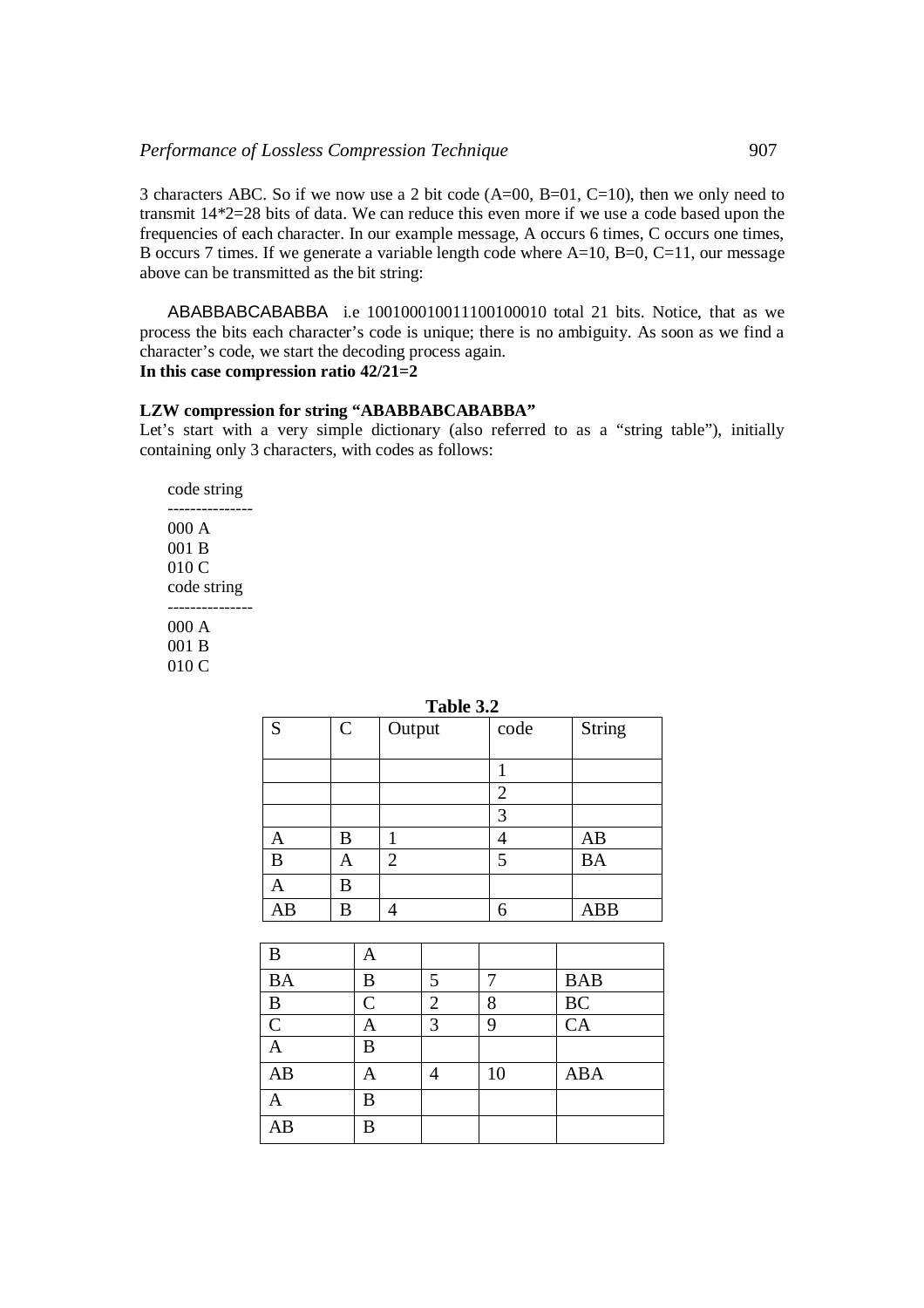3 characters ABC. So if we now use a 2 bit code (A=00, B=01, C=10), then we only need to transmit 14\*2=28 bits of data. We can reduce this even more if we use a code based upon the frequencies of each character. In our example message, A occurs 6 times, C occurs one times, B occurs 7 times. If we generate a variable length code where  $A=10$ ,  $B=0$ ,  $C=11$ , our message above can be transmitted as the bit string:

ABABBABCABABBA i.e 100100010011100100010 total 21 bits. Notice, that as we process the bits each character's code is unique; there is no ambiguity. As soon as we find a character's code, we start the decoding process again. **In this case compression ratio 42/21=2**

#### **LZW compression for string "ABABBABCABABBA"**

Let's start with a very simple dictionary (also referred to as a "string table"), initially containing only 3 characters, with codes as follows:

code string --------------- 000 A 001 B 010 C code string --------------- 000 A 001 B 010 C

| S  | $\mathbf C$ | Output         | code           | <b>String</b> |
|----|-------------|----------------|----------------|---------------|
|    |             |                |                |               |
|    |             |                | $\overline{2}$ |               |
|    |             |                | 3              |               |
|    | B           |                | 4              | AB            |
| B  | A           | $\overline{2}$ | 5              | <b>BA</b>     |
|    | B           |                |                |               |
| AΒ | B           | 4              | 6              | <b>ABB</b>    |

| B               |               |   |    |            |
|-----------------|---------------|---|----|------------|
| <b>BA</b>       | B             | 5 |    | <b>BAB</b> |
| B               | $\mathcal{C}$ | 2 | 8  | BC         |
| $\overline{C}$  | A             | 3 | 0  | CA         |
|                 | B             |   |    |            |
| AB              |               |   | 10 | <b>ABA</b> |
|                 | B             |   |    |            |
| $\overline{AB}$ | B             |   |    |            |

#### **Table 3.2**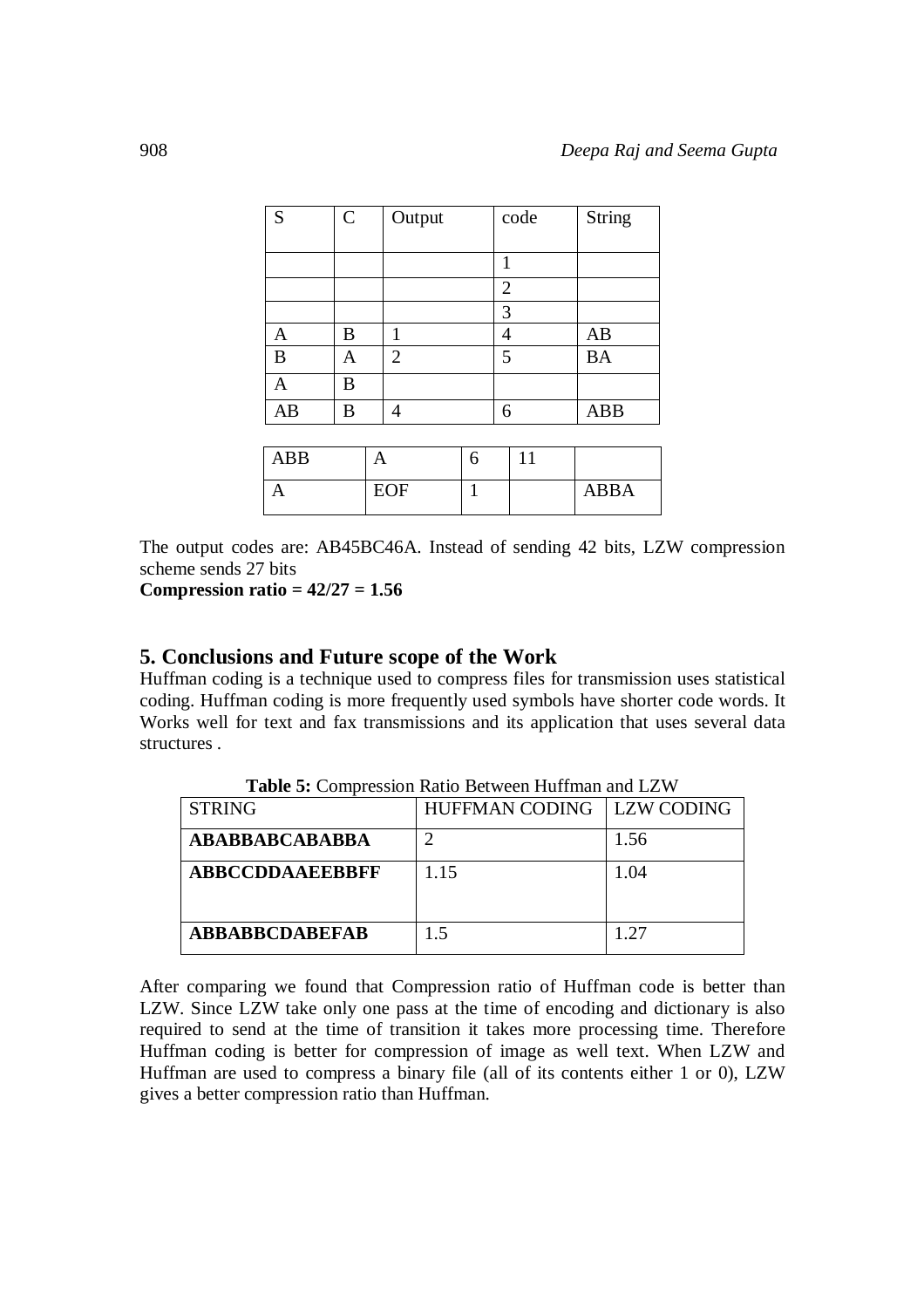| S            | $\mathsf{C}$ |   | Output         |   |                | code | <b>String</b> |
|--------------|--------------|---|----------------|---|----------------|------|---------------|
|              |              |   |                |   |                |      |               |
|              |              |   |                |   | 1              |      |               |
|              |              |   |                |   | $\overline{2}$ |      |               |
|              |              |   |                |   | 3              |      |               |
| $\mathbf{A}$ | B            |   | 1              |   | 4              |      | AB            |
| B            | A            |   | $\overline{2}$ |   | 5              |      | <b>BA</b>     |
| $\mathbf{A}$ | B            |   |                |   |                |      |               |
| AB           | B            |   | 4              |   | 6              |      | <b>ABB</b>    |
|              |              |   |                |   |                |      |               |
| <b>ABB</b>   |              | A |                | 6 |                | 11   |               |

| ABB |     |  |             |
|-----|-----|--|-------------|
|     | EOF |  | <b>ABBA</b> |

The output codes are: AB45BC46A. Instead of sending 42 bits, LZW compression scheme sends 27 bits

**Compression ratio = 42/27 = 1.56**

### **5. Conclusions and Future scope of the Work**

Huffman coding is a technique used to compress files for transmission uses statistical coding. Huffman coding is more frequently used symbols have shorter code words. It Works well for text and fax transmissions and its application that uses several data structures .

| <b>STRING</b>         | HUFFMAN CODING   LZW CODING |      |
|-----------------------|-----------------------------|------|
| ABABBABCABABBA        |                             | 1.56 |
| ABBCCDDAAEEBBFF       | 1.15                        | 1.04 |
| <b>ABBABBCDABEFAB</b> | 15                          | 1.27 |

**Table 5:** Compression Ratio Between Huffman and LZW

After comparing we found that Compression ratio of Huffman code is better than LZW. Since LZW take only one pass at the time of encoding and dictionary is also required to send at the time of transition it takes more processing time. Therefore Huffman coding is better for compression of image as well text. When LZW and Huffman are used to compress a binary file (all of its contents either 1 or 0), LZW gives a better compression ratio than Huffman.